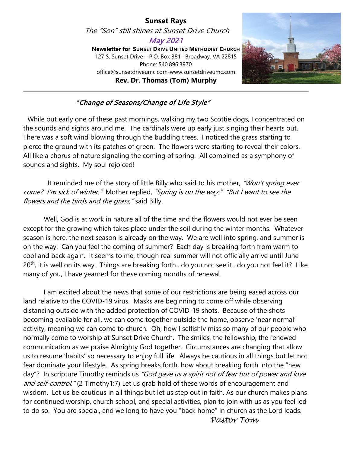#### **Sunset Rays** The "Son" still shines at Sunset Drive Church May 2021 **Newsletter for SUNSET DRIVE UNITED METHODIST CHURCH** 127 S. Sunset Drive – P.O. Box 381 –Broadway, VA 22815 Phone: 540.896.3970 office@sunsetdriveumc.com-www.sunsetdriveumc.com **Rev. Dr. Thomas (Tom) Murphy**



#### "Change of Seasons/Change of Life Style"

 While out early one of these past mornings, walking my two Scottie dogs, I concentrated on the sounds and sights around me. The cardinals were up early just singing their hearts out. There was a soft wind blowing through the budding trees. I noticed the grass starting to pierce the ground with its patches of green. The flowers were starting to reveal their colors. All like a chorus of nature signaling the coming of spring. All combined as a symphony of sounds and sights. My soul rejoiced!

It reminded me of the story of little Billy who said to his mother, "Won't spring ever come? I'm sick of winter." Mother replied, "Spring is on the way." "But I want to see the flowers and the birds and the grass," said Billy.

Well, God is at work in nature all of the time and the flowers would not ever be seen except for the growing which takes place under the soil during the winter months. Whatever season is here, the next season is already on the way. We are well into spring, and summer is on the way. Can you feel the coming of summer? Each day is breaking forth from warm to cool and back again. It seems to me, though real summer will not officially arrive until June  $20<sup>th</sup>$ , it is well on its way. Things are breaking forth...do you not see it...do you not feel it? Like many of you, I have yearned for these coming months of renewal.

I am excited about the news that some of our restrictions are being eased across our land relative to the COVID-19 virus. Masks are beginning to come off while observing distancing outside with the added protection of COVID-19 shots. Because of the shots becoming available for all, we can come together outside the home, observe 'near normal' activity, meaning we can come to church. Oh, how I selfishly miss so many of our people who normally come to worship at Sunset Drive Church. The smiles, the fellowship, the renewed communication as we praise Almighty God together. Circumstances are changing that allow us to resume 'habits' so necessary to enjoy full life. Always be cautious in all things but let not fear dominate your lifestyle. As spring breaks forth, how about breaking forth into the "new day"? In scripture Timothy reminds us "God gave us a spirit not of fear but of power and love and self-control." (2 Timothy1:7) Let us grab hold of these words of encouragement and wisdom. Let us be cautious in all things but let us step out in faith. As our church makes plans for continued worship, church school, and special activities, plan to join with us as you feel led to do so. You are special, and we long to have you "back home" in church as the Lord leads.  *Pastor Tom*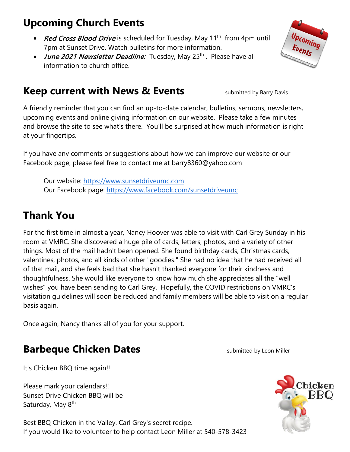# **Upcoming Church Events**

- Red Cross Blood Drive is scheduled for Tuesday, May 11<sup>th</sup> from 4pm until 7pm at Sunset Drive. Watch bulletins for more information.
- June 2021 Newsletter Deadline: Tuesday, May 25<sup>th</sup>. Please have all information to church office.

# **Keep current with News & Events** submitted by Barry Davis

A friendly reminder that you can find an up-to-date calendar, bulletins, sermons, newsletters, upcoming events and online giving information on our website. Please take a few minutes and browse the site to see what's there. You'll be surprised at how much information is right at your fingertips.

If you have any comments or suggestions about how we can improve our website or our Facebook page, please feel free to contact me at barry8360@yahoo.com

Our website: [https://www.sunsetdriveumc.com](about:blank) Our Facebook page: [https://www.facebook.com/sunsetdriveumc](about:blank)

# **Thank You**

For the first time in almost a year, Nancy Hoover was able to visit with Carl Grey Sunday in his room at VMRC. She discovered a huge pile of cards, letters, photos, and a variety of other things. Most of the mail hadn't been opened. She found birthday cards, Christmas cards, valentines, photos, and all kinds of other "goodies." She had no idea that he had received all of that mail, and she feels bad that she hasn't thanked everyone for their kindness and thoughtfulness. She would like everyone to know how much she appreciates all the "well wishes" you have been sending to Carl Grey. Hopefully, the COVID restrictions on VMRC's visitation guidelines will soon be reduced and family members will be able to visit on a regular basis again.

Once again, Nancy thanks all of you for your support.

## **Barbeque Chicken Dates State of the Submitted by Leon Miller**

It's Chicken BBQ time again!!

Please mark your calendars!! Sunset Drive Chicken BBQ will be Saturday, May 8<sup>th</sup>

Best BBQ Chicken in the Valley. Carl Grey's secret recipe. If you would like to volunteer to help contact Leon Miller at 540-578-3423



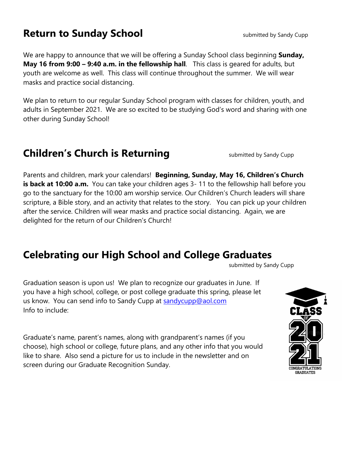### **Return to Sunday School** Superinted by Sandy Cupp

We are happy to announce that we will be offering a Sunday School class beginning **Sunday, May 16 from 9:00 – 9:40 a.m. in the fellowship hall**. This class is geared for adults, but youth are welcome as well. This class will continue throughout the summer. We will wear masks and practice social distancing.

We plan to return to our regular Sunday School program with classes for children, youth, and adults in September 2021. We are so excited to be studying God's word and sharing with one other during Sunday School!

## **Children's Church is Returning** submitted by Sandy Cupp

Parents and children, mark your calendars! **Beginning, Sunday, May 16, Children's Church is back at 10:00 a.m.** You can take your children ages 3-11 to the fellowship hall before you go to the sanctuary for the 10:00 am worship service. Our Children's Church leaders will share scripture, a Bible story, and an activity that relates to the story. You can pick up your children after the service. Children will wear masks and practice social distancing. Again, we are delighted for the return of our Children's Church!

## **Celebrating our High School and College Graduates**

submitted by Sandy Cupp

Graduation season is upon us! We plan to recognize our graduates in June. If you have a high school, college, or post college graduate this spring, please let us know. You can send info to Sandy Cupp at [sandycupp@aol.com](mailto:sandycupp@aol.com) Info to include:

Graduate's name, parent's names, along with grandparent's names (if you choose), high school or college, future plans, and any other info that you would like to share. Also send a picture for us to include in the newsletter and on screen during our Graduate Recognition Sunday.

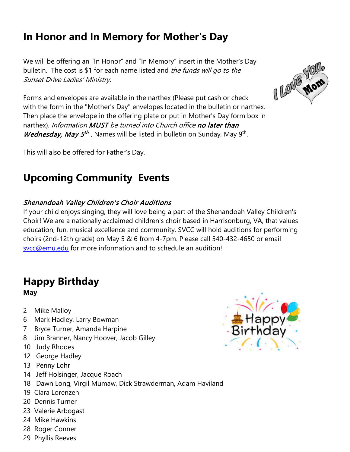# **In Honor and In Memory for Mother's Day**

We will be offering an "In Honor" and "In Memory" insert in the Mother's Day bulletin. The cost is \$1 for each name listed and the funds will go to the Sunset Drive Ladies' Ministry.

Forms and envelopes are available in the narthex (Please put cash or check with the form in the "Mother's Day" envelopes located in the bulletin or narthex. Then place the envelope in the offering plate or put in Mother's Day form box in narthex). Information MUST be turned into Church office no later than *Wednesday, May 5<sup>th</sup>*. Names will be listed in bulletin on Sunday, May 9<sup>th</sup>.

This will also be offered for Father's Day.

# **Upcoming Community Events**

### Shenandoah Valley Children's Choir Auditions

If your child enjoys singing, they will love being a part of the Shenandoah Valley Children's Choir! We are a nationally acclaimed children's choir based in Harrisonburg, VA, that values education, fun, musical excellence and community. SVCC will hold auditions for performing choirs (2nd-12th grade) on May 5 & 6 from 4-7pm. Please call 540-432-4650 or email [svcc@emu.edu](mailto:svcc@emu.edu) for more information and to schedule an audition!

### **Happy Birthday May**

- 2 Mike Malloy
- 6 Mark Hadley, Larry Bowman
- 7 Bryce Turner, Amanda Harpine
- 8 Jim Branner, Nancy Hoover, Jacob Gilley
- 10 Judy Rhodes
- 12 George Hadley
- 13 Penny Lohr
- 14 Jeff Holsinger, Jacque Roach
- 18 Dawn Long, Virgil Mumaw, Dick Strawderman, Adam Haviland
- 19 Clara Lorenzen
- 20 Dennis Turner
- 23 Valerie Arbogast
- 24 Mike Hawkins
- 28 Roger Conner
- 29 Phyllis Reeves



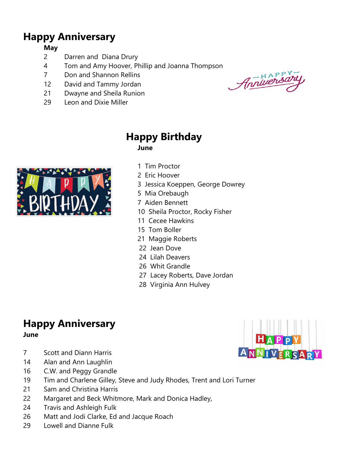## **Happy Anniversary**

#### **May**

- 2 Darren and Diana Drury
- 4 Tom and Amy Hoover, Phillip and Joanna Thompson
- 7 Don and Shannon Rellins
- 12 David and Tammy Jordan
- 21 Dwayne and Sheila Runion
- 29 Leon and Dixie Miller

 $-HAP<sub>1</sub><sup>PY</sup>$ Anniversi



### **Happy Birthday June**

- 1 Tim Proctor
- 2 Eric Hoover
- 3 Jessica Koeppen, George Dowrey
- 5 Mia Orebaugh
- 7 Aiden Bennett
- 10 Sheila Proctor, Rocky Fisher
- 11 Cecee Hawkins
- 15 Tom Boller
- 21 Maggie Roberts
- 22 Jean Dove
- 24 Lilah Deavers
- 26 Whit Grandle
- 27 Lacey Roberts, Dave Jordan
- 28 Virginia Ann Hulvey

## **Happy Anniversary**

**June**

- 7 Scott and Diann Harris
- 14 Alan and Ann Laughlin
- 16 C.W. and Peggy Grandle
- 19 Tim and Charlene Gilley, Steve and Judy Rhodes, Trent and Lori Turner
- 21 Sam and Christina Harris
- 22 Margaret and Beck Whitmore, Mark and Donica Hadley,
- 24 Travis and Ashleigh Fulk
- 26 Matt and Jodi Clarke, Ed and Jacque Roach
- 29 Lowell and Dianne Fulk